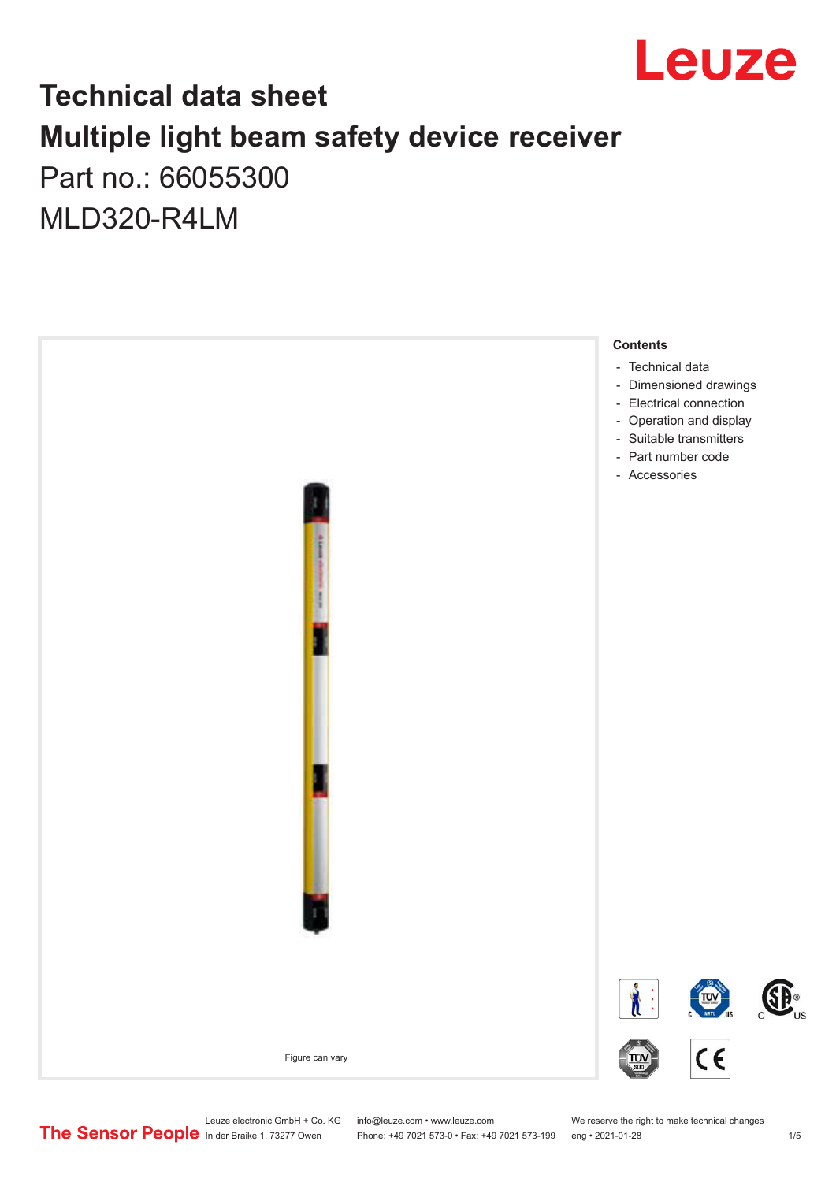

## **Technical data sheet Multiple light beam safety device receiver** Part no.: 66055300

MLD320-R4LM



Phone: +49 7021 573-0 • Fax: +49 7021 573-199 eng • 2021-01-28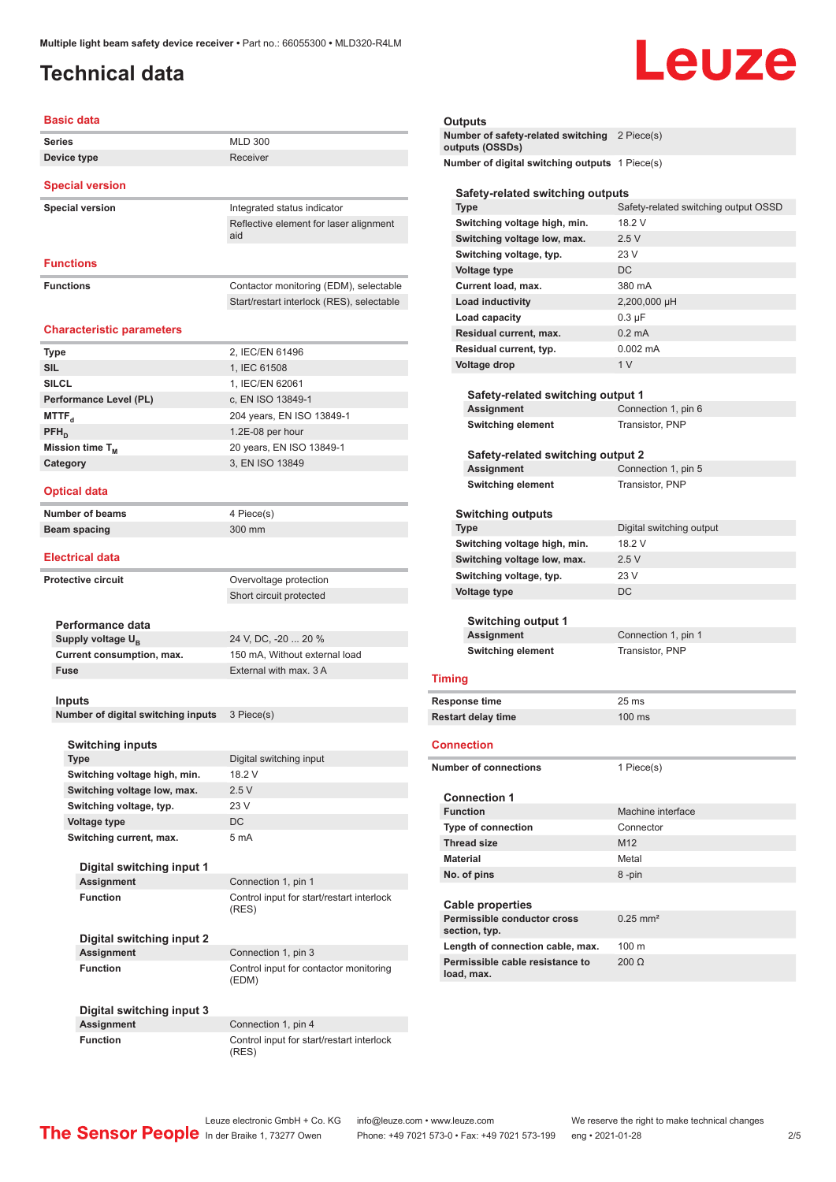# Leuze

<span id="page-1-0"></span>

| <b>Basic data</b>                                   |                                           |  |
|-----------------------------------------------------|-------------------------------------------|--|
| <b>Series</b>                                       | <b>MLD 300</b>                            |  |
| Device type                                         | Receiver                                  |  |
| <b>Special version</b>                              |                                           |  |
| <b>Special version</b>                              | Integrated status indicator               |  |
|                                                     | Reflective element for laser alignment    |  |
|                                                     | aid                                       |  |
| <b>Functions</b>                                    |                                           |  |
| <b>Functions</b>                                    | Contactor monitoring (EDM), selectable    |  |
|                                                     | Start/restart interlock (RES), selectable |  |
|                                                     |                                           |  |
| <b>Characteristic parameters</b>                    |                                           |  |
| Type                                                | 2, IEC/EN 61496                           |  |
| <b>SIL</b>                                          | 1, IEC 61508                              |  |
| <b>SILCL</b>                                        | 1, IEC/EN 62061                           |  |
| Performance Level (PL)                              | c, EN ISO 13849-1                         |  |
| MTTF <sub>a</sub>                                   | 204 years, EN ISO 13849-1                 |  |
| $PFH_{D}$                                           | 1.2E-08 per hour                          |  |
| Mission time T <sub>M</sub>                         | 20 years, EN ISO 13849-1                  |  |
| Category                                            | 3, EN ISO 13849                           |  |
| <b>Optical data</b>                                 |                                           |  |
| <b>Number of beams</b>                              | 4 Piece(s)                                |  |
| <b>Beam spacing</b>                                 | 300 mm                                    |  |
| <b>Electrical data</b>                              |                                           |  |
| <b>Protective circuit</b>                           | Overvoltage protection                    |  |
|                                                     | Short circuit protected                   |  |
|                                                     |                                           |  |
| Performance data                                    |                                           |  |
| Supply voltage U <sub>R</sub>                       | 24 V, DC, -20  20 %                       |  |
| Current consumption, max.                           | 150 mA, Without external load             |  |
| <b>Fuse</b>                                         | External with max. 3 A                    |  |
|                                                     |                                           |  |
| <b>Inputs</b><br>Number of digital switching inputs |                                           |  |
|                                                     | 3 Piece(s)                                |  |
| <b>Switching inputs</b>                             |                                           |  |
| <b>Type</b>                                         | Digital switching input                   |  |
|                                                     | 18.2 V                                    |  |
| Switching voltage high, min.                        |                                           |  |
| Switching voltage low, max.                         | 2.5V                                      |  |
| Switching voltage, typ.                             | 23 V                                      |  |
| <b>Voltage type</b>                                 | DC                                        |  |

**Digital switching input 1 Assignment** Connection 1, pin 1 **Function Control input for start/restart interlock** 

**Digital switching input 2 Assignment** Connection 1, pin 3 **Function Control input for contactor monitoring** 

**Digital switching input 3**

Connection 1, pin 4 **Function** Control input for start/restart interlock (RES)

#### **Outputs**

**Number of safety-related switching outputs (OSSDs)** 2 Piece(s) **Number of digital switching outputs** 1 Piece(s) **Safety-related switching outputs**

|                                              | <b>Type</b>                                            | Safety-related switching output OSSD |  |
|----------------------------------------------|--------------------------------------------------------|--------------------------------------|--|
|                                              | Switching voltage high, min.                           | 18.2 V                               |  |
|                                              | Switching voltage low, max.                            | 2.5V                                 |  |
|                                              | Switching voltage, typ.                                | 23 V                                 |  |
|                                              | Voltage type                                           | DC                                   |  |
|                                              | Current load, max.                                     | 380 mA                               |  |
|                                              | <b>Load inductivity</b>                                | 2,200,000 µH                         |  |
|                                              | Load capacity                                          | $0.3 \mu F$                          |  |
|                                              | Residual current, max.                                 | $0.2 \text{ mA}$                     |  |
|                                              | Residual current, typ.                                 | $0.002$ mA                           |  |
|                                              | <b>Voltage drop</b>                                    | 1 <sub>V</sub>                       |  |
|                                              |                                                        |                                      |  |
|                                              | Safety-related switching output 1                      |                                      |  |
|                                              | Assignment                                             | Connection 1, pin 6                  |  |
|                                              | <b>Switching element</b>                               | Transistor, PNP                      |  |
|                                              |                                                        |                                      |  |
|                                              | Safety-related switching output 2                      |                                      |  |
|                                              | Assignment                                             | Connection 1, pin 5                  |  |
|                                              | <b>Switching element</b>                               | Transistor, PNP                      |  |
|                                              |                                                        |                                      |  |
|                                              | <b>Switching outputs</b><br><b>Type</b>                | Digital switching output             |  |
|                                              | Switching voltage high, min.                           | 18.2 V                               |  |
|                                              |                                                        | 2.5V                                 |  |
|                                              | Switching voltage low, max.<br>Switching voltage, typ. | 23 V                                 |  |
|                                              |                                                        | DC                                   |  |
| <b>Voltage type</b>                          |                                                        |                                      |  |
|                                              | <b>Switching output 1</b>                              |                                      |  |
| Assignment                                   |                                                        | Connection 1, pin 1                  |  |
|                                              | <b>Switching element</b>                               | Transistor, PNP                      |  |
|                                              |                                                        |                                      |  |
| Timing                                       |                                                        |                                      |  |
|                                              | Response time                                          | 25 ms                                |  |
| <b>Restart delay time</b>                    |                                                        | $100$ ms                             |  |
|                                              |                                                        |                                      |  |
|                                              | Connection                                             |                                      |  |
|                                              | <b>Number of connections</b>                           | 1 Piece(s)                           |  |
|                                              |                                                        |                                      |  |
|                                              | <b>Connection 1</b>                                    |                                      |  |
|                                              | <b>Function</b>                                        | Machine interface                    |  |
|                                              | <b>Type of connection</b>                              | Connector                            |  |
|                                              | <b>Thread size</b>                                     | M12                                  |  |
|                                              | <b>Material</b>                                        | Metal                                |  |
| No. of pins                                  |                                                        | 8-pin                                |  |
|                                              |                                                        |                                      |  |
|                                              | <b>Cable properties</b>                                |                                      |  |
| Permissible conductor cross<br>section, typ. |                                                        | $0.25$ mm <sup>2</sup>               |  |
|                                              |                                                        |                                      |  |
|                                              | Length of connection cable, max.                       | 100 <sub>m</sub>                     |  |
|                                              | Permissible cable resistance to<br>load, max.          | $200 \Omega$                         |  |

(RES)

(EDM)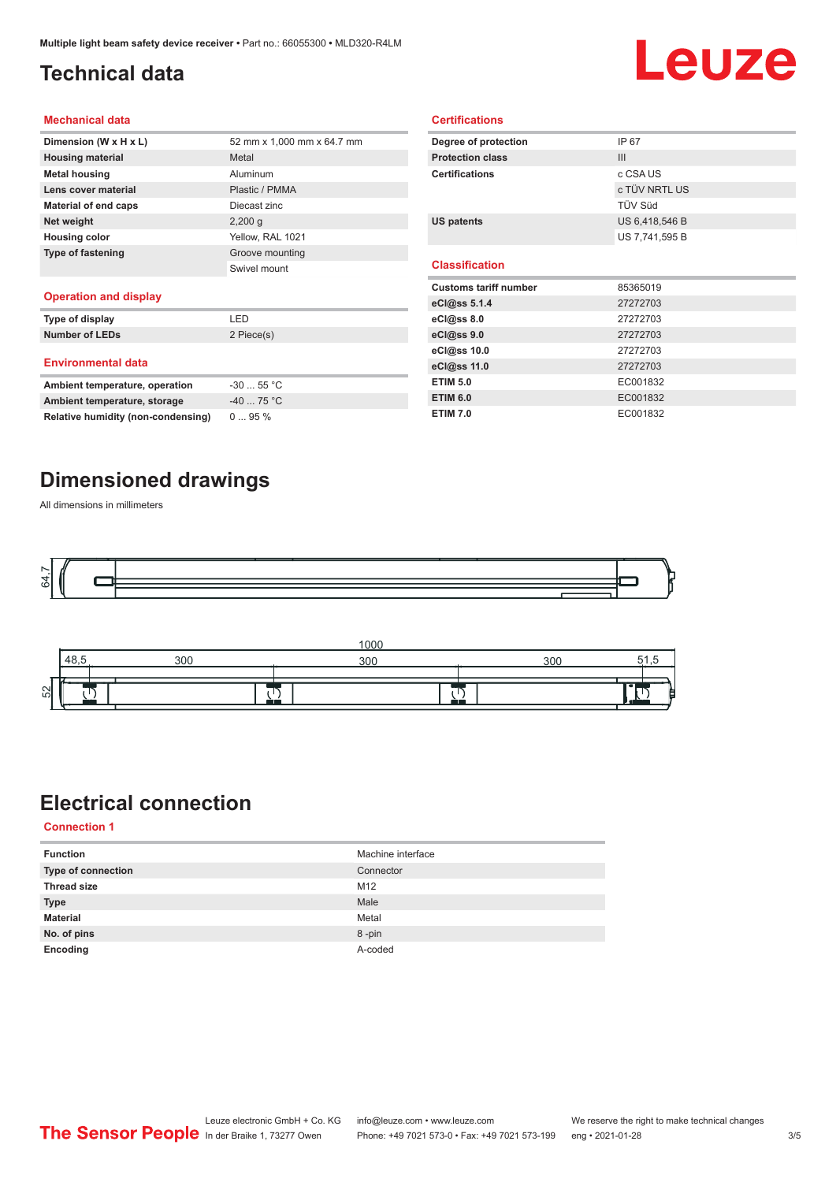### <span id="page-2-0"></span>**Technical data**

# Leuze

#### **Mechanical data**

| Dimension (W x H x L)    | 52 mm x 1,000 mm x 64.7 mm |
|--------------------------|----------------------------|
| <b>Housing material</b>  | Metal                      |
| <b>Metal housing</b>     | Aluminum                   |
| Lens cover material      | Plastic / PMMA             |
| Material of end caps     | Diecast zinc               |
| Net weight               | $2,200$ q                  |
| <b>Housing color</b>     | Yellow, RAL 1021           |
| <b>Type of fastening</b> | Groove mounting            |
|                          | Swivel mount               |
| .                        |                            |

#### **Operation and display**

| Type of display                | I FD       |
|--------------------------------|------------|
| <b>Number of LEDs</b>          | 2 Piece(s) |
| <b>Environmental data</b>      |            |
| Ambient temperature, operation | $-3055$ °C |
| Ambient temperature, storage   | $-4075 °C$ |

| Degree of protection         | IP 67          |
|------------------------------|----------------|
| <b>Protection class</b>      | III            |
| <b>Certifications</b>        | c CSA US       |
|                              | c TÜV NRTL US  |
|                              | TÜV Süd        |
| <b>US patents</b>            | US 6,418,546 B |
|                              | US 7,741,595 B |
|                              |                |
|                              |                |
| <b>Classification</b>        |                |
| <b>Customs tariff number</b> | 85365019       |
| eCl@ss 5.1.4                 | 27272703       |
| eCl@ss 8.0                   | 27272703       |
| eCl@ss 9.0                   | 27272703       |
| eCl@ss 10.0                  | 27272703       |
| eCl@ss 11.0                  | 27272703       |
| <b>ETIM 5.0</b>              | EC001832       |
| <b>ETIM 6.0</b>              | EC001832       |

**Certifications**

#### **Dimensioned drawings**

**Relative humidity (non-condensing)** 0 ... 95 %

All dimensions in millimeters





### **Electrical connection**

**Connection 1**

| <b>Function</b>           | Machine interface |
|---------------------------|-------------------|
| <b>Type of connection</b> | Connector         |
| <b>Thread size</b>        | M12               |
| <b>Type</b>               | Male              |
| <b>Material</b>           | Metal             |
| No. of pins               | 8-pin             |
| Encoding                  | A-coded           |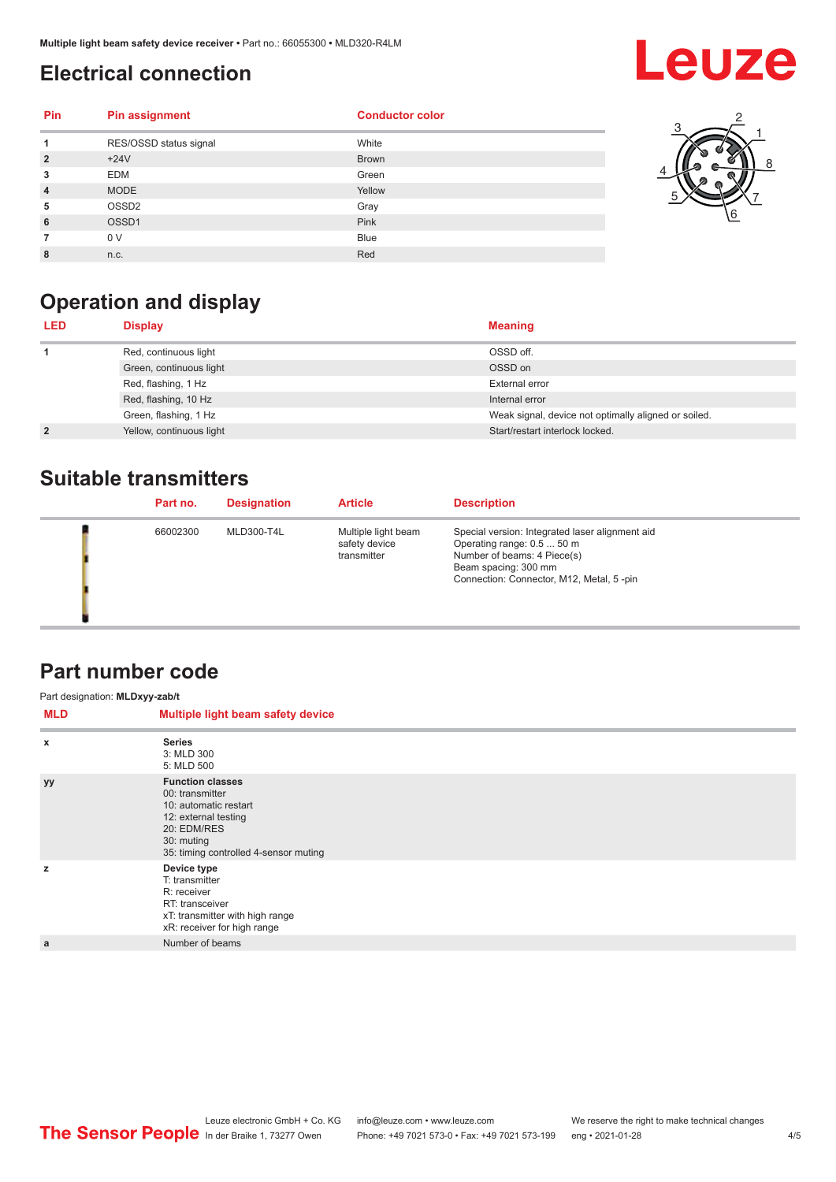### <span id="page-3-0"></span>**Electrical connection**

## **Leuze**

| <b>Pin</b>     | <b>Pin assignment</b>  | <b>Conductor color</b> |
|----------------|------------------------|------------------------|
| 1              | RES/OSSD status signal | White                  |
| $\overline{2}$ | $+24V$                 | <b>Brown</b>           |
| 3              | <b>EDM</b>             | Green                  |
| $\overline{4}$ | <b>MODE</b>            | Yellow                 |
| 5              | OSSD <sub>2</sub>      | Gray                   |
| 6              | OSSD1                  | Pink                   |
|                | 0 V                    | <b>Blue</b>            |
| 8              | n.c.                   | Red                    |



### **Operation and display**

| <b>LED</b>     | <b>Display</b>           | <b>Meaning</b>                                       |
|----------------|--------------------------|------------------------------------------------------|
|                | Red, continuous light    | OSSD off.                                            |
|                | Green, continuous light  | OSSD on                                              |
|                | Red, flashing, 1 Hz      | External error                                       |
|                | Red, flashing, 10 Hz     | Internal error                                       |
|                | Green, flashing, 1 Hz    | Weak signal, device not optimally aligned or soiled. |
| $\overline{2}$ | Yellow, continuous light | Start/restart interlock locked.                      |

#### **Suitable transmitters**

| Part no. | <b>Designation</b> | <b>Article</b>                                      | <b>Description</b>                                                                                                                                                               |
|----------|--------------------|-----------------------------------------------------|----------------------------------------------------------------------------------------------------------------------------------------------------------------------------------|
| 66002300 | MLD300-T4L         | Multiple light beam<br>safety device<br>transmitter | Special version: Integrated laser alignment aid<br>Operating range: 0.5  50 m<br>Number of beams: 4 Piece(s)<br>Beam spacing: 300 mm<br>Connection: Connector, M12, Metal, 5-pin |

#### **Part number code**

| Part designation: MLDxyy-zab/t |                                                                                                                                                                   |
|--------------------------------|-------------------------------------------------------------------------------------------------------------------------------------------------------------------|
| <b>MLD</b>                     | Multiple light beam safety device                                                                                                                                 |
| $\boldsymbol{\mathsf{x}}$      | <b>Series</b><br>3: MLD 300<br>5: MLD 500                                                                                                                         |
| уу                             | <b>Function classes</b><br>00: transmitter<br>10: automatic restart<br>12: external testing<br>20: EDM/RES<br>30: muting<br>35: timing controlled 4-sensor muting |
| z                              | Device type<br>T: transmitter<br>R: receiver<br>RT: transceiver<br>xT: transmitter with high range<br>xR: receiver for high range                                 |
| a                              | Number of beams                                                                                                                                                   |